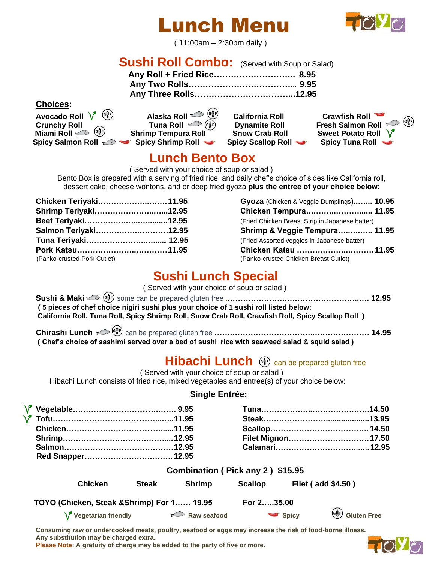# Lunch Menu



( 11:00am – 2:30pm daily )

# **Sushi Roll Combo:** (Served with Soup or Salad)

| Any Roll + Fried Rice 8.95 |  |
|----------------------------|--|
|                            |  |
|                            |  |

#### **Choices:**

Avocado Roll  $\sqrt{\phantom{a}^{(8/2)}_{\quad(8/2)}}$  Alaska Roll  $\infty$   $\frac{6(8/2)}{2}$  California Roll  $\phantom{a}$  Crawfish Roll  $\bullet$  **Miami Roll**  $\text{Self}$  **Shrimp Tempura Roll Snow Crab Roll Spicy Salmon Roll**  $\gg$  **Spicy Shrimp Roll Spicy Scallop Roll Spicy Tuna Roll** 

| Alaska Roll <sup>(د گ</sup> ُّ) |  |
|---------------------------------|--|
| Tuna Roll (                     |  |
| np Tempura Roll                 |  |

**Crunchy Roll** Tuna Roll  $\circledcirc$   $\circledcirc$  Dynamite Roll Fresh Salmon Roll  $\circledcirc$   $\circledcirc$ <br>
Miami Roll  $\circledcirc$   $\circledcirc$  Shrimp Tempura Roll Snow Crab Roll Sweet Potato Roll V

### **Lunch Bento Box**

( Served with your choice of soup or salad )

Bento Box is prepared with a serving of fried rice, and daily chef's choice of sides like California roll, dessert cake, cheese wontons, and or deep fried gyoza **plus the entree of your choice below**:

| Chicken Teriyaki 11.95 | Gyoza (Chicken & Veggie Dumplings) 10.95        |  |
|------------------------|-------------------------------------------------|--|
| Shrimp Teriyaki12.95   | Chicken Tempura 11.95                           |  |
|                        | (Fried Chicken Breast Strip in Japanese batter) |  |
| Salmon Teriyaki12.95   | Shrimp & Veggie Tempura 11.95                   |  |
|                        | (Fried Assorted veggies in Japanese batter)     |  |
|                        | Chicken Katsu  11.95                            |  |
|                        | (Panko-crusted Chicken Breast Cutlet)           |  |
|                        |                                                 |  |

| Chicken Teriyaki11.95       | Gyoza (Chicken & Veggie Dumplings) 10.95        |  |
|-----------------------------|-------------------------------------------------|--|
| Shrimp Teriyaki12.95        | Chicken Tempura 11.95                           |  |
|                             | (Fried Chicken Breast Strip in Japanese batter) |  |
| Salmon Teriyaki12.95        | Shrimp & Veggie Tempura 11.95                   |  |
|                             | (Fried Assorted veggies in Japanese batter)     |  |
| Pork Katsu11.95             | Chicken Katsu  11.95                            |  |
| (Panko-crusted Pork Cutlet) | (Panko-crusted Chicken Breast Cutlet)           |  |

## **Sushi Lunch Special**

( Served with your choice of soup or salad )

| (5 pieces of chef choice nigiri sushi plus your choice of 1 sushi roll listed below:               |  |
|----------------------------------------------------------------------------------------------------|--|
| California Roll, Tuna Roll, Spicy Shrimp Roll, Snow Crab Roll, Crawfish Roll, Spicy Scallop Roll ) |  |
|                                                                                                    |  |
| (Chef's choice of sashimi served over a bed of sushi rice with seaweed salad & squid salad)        |  |

### **Hibachi Lunch**  $\circledast$  can be prepared gluten free

( Served with your choice of soup or salad )

Hibachi Lunch consists of fried rice, mixed vegetables and entree(s) of your choice below:

#### **Single Entrée:**

|  | Filet Mignon 17.50 |  |
|--|--------------------|--|
|  |                    |  |
|  |                    |  |

|                                            |              | Combination (Pick any 2) \$15.95 |                |                                                                                                                            |
|--------------------------------------------|--------------|----------------------------------|----------------|----------------------------------------------------------------------------------------------------------------------------|
| <b>Chicken</b>                             | <b>Steak</b> | <b>Shrimp</b>                    | <b>Scallop</b> | <b>Filet (add \$4.50)</b>                                                                                                  |
| TOYO (Chicken, Steak & Shrimp) For 1 19.95 |              |                                  | For 235.00     |                                                                                                                            |
| $\sqrt{\ }$ Vegetarian friendly            |              | $\Rightarrow$ Raw seafood        |                | $\begin{pmatrix} \mathbf{G}_{\mathbf{S}}^{\mathbf{B}} \mathbf{F} \end{pmatrix}$ Gluten Free<br>$\blacktriangleright$ Spicy |

**Consuming raw or undercooked meats, poultry, seafood or eggs may increase the risk of food-borne illness. Any substitution may be charged extra.**

**Please Note: A gratuity of charge may be added to the party of five or more.**